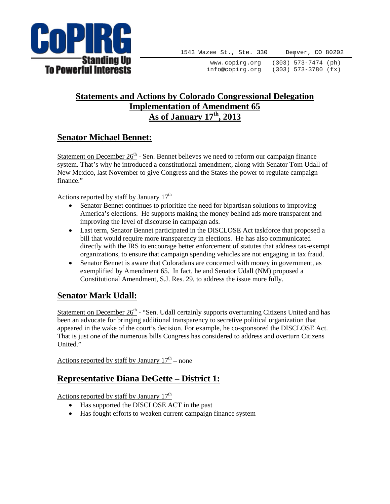

1543 Wazee St., Ste. 330 Denver, CO 80202

www.copirg.org (303) 573-7474 (ph) info@copirg.org (303) 573-3780 (fx)

## **Statements and Actions by Colorado Congressional Delegation Implementation of Amendment 65 As of January 17th, 2013**

# **Senator Michael Bennet:**

Statement on December  $26<sup>th</sup>$  - Sen. Bennet believes we need to reform our campaign finance system. That's why he introduced a constitutional amendment, along with Senator Tom Udall of New Mexico, last November to give Congress and the States the power to regulate campaign finance."

Actions reported by staff by January  $17<sup>th</sup>$ 

- Senator Bennet continues to prioritize the need for bipartisan solutions to improving America's elections. He supports making the money behind ads more transparent and improving the level of discourse in campaign ads.
- Last term, Senator Bennet participated in the DISCLOSE Act taskforce that proposed a bill that would require more transparency in elections. He has also communicated directly with the IRS to encourage better enforcement of statutes that address tax-exempt organizations, to ensure that campaign spending vehicles are not engaging in tax fraud.
- Senator Bennet is aware that Coloradans are concerned with money in government, as exemplified by Amendment 65. In fact, he and Senator Udall (NM) proposed a Constitutional Amendment, S.J. Res. 29, to address the issue more fully.

# **Senator Mark Udall:**

Statement on December  $26<sup>th</sup>$  - "Sen. Udall certainly supports overturning Citizens United and has been an advocate for bringing additional transparency to secretive political organization that appeared in the wake of the court's decision. For example, he co-sponsored the DISCLOSE Act. That is just one of the numerous bills Congress has considered to address and overturn Citizens United."

Actions reported by staff by January  $17<sup>th</sup>$  – none

# **Representative Diana DeGette – District 1:**

Actions reported by staff by January  $17<sup>th</sup>$ 

- Has supported the DISCLOSE ACT in the past
- Has fought efforts to weaken current campaign finance system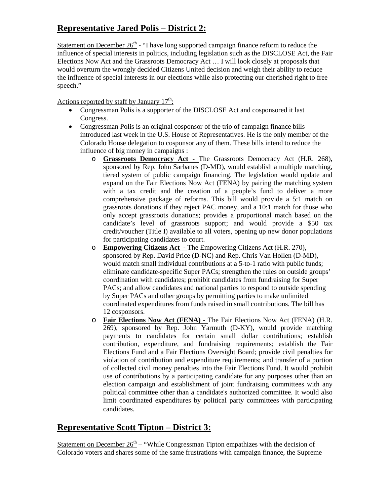# **Representative Jared Polis – District 2:**

Statement on December  $26<sup>th</sup>$  - "I have long supported campaign finance reform to reduce the influence of special interests in politics, including legislation such as the DISCLOSE Act, the Fair Elections Now Act and the Grassroots Democracy Act … I will look closely at proposals that would overturn the wrongly decided Citizens United decision and weigh their ability to reduce the influence of special interests in our elections while also protecting our cherished right to free speech."

Actions reported by staff by January  $17<sup>th</sup>$ :

- Congressman Polis is a supporter of the DISCLOSE Act and cosponsored it last Congress.
- Congressman Polis is an original cosponsor of the trio of campaign finance bills introduced last week in the U.S. House of Representatives. He is the only member of the Colorado House delegation to cosponsor any of them. These bills intend to reduce the influence of big money in campaigns :
	- o **Grassroots Democracy Act -** The Grassroots Democracy Act (H.R. 268), sponsored by Rep. John Sarbanes (D-MD), would establish a multiple matching, tiered system of public campaign financing. The legislation would update and expand on the Fair Elections Now Act (FENA) by pairing the matching system with a tax credit and the creation of a people's fund to deliver a more comprehensive package of reforms. This bill would provide a 5:1 match on grassroots donations if they reject PAC money, and a 10:1 match for those who only accept grassroots donations; provides a proportional match based on the candidate's level of grassroots support; and would provide a \$50 tax credit/voucher (Title I) available to all voters, opening up new donor populations for participating candidates to court.
	- o **Empowering Citizens Act -** The Empowering Citizens Act (H.R. 270), sponsored by Rep. David Price (D-NC) and Rep. Chris Van Hollen (D-MD), would match small individual contributions at a 5-to-1 ratio with public funds; eliminate candidate-specific Super PACs; strengthen the rules on outside groups' coordination with candidates; prohibit candidates from fundraising for Super PACs; and allow candidates and national parties to respond to outside spending by Super PACs and other groups by permitting parties to make unlimited coordinated expenditures from funds raised in small contributions. The bill has 12 cosponsors.
	- o **Fair Elections Now Act (FENA) -** The Fair Elections Now Act (FENA) (H.R. 269), sponsored by Rep. John Yarmuth (D-KY), would provide matching payments to candidates for certain small dollar contributions; establish contribution, expenditure, and fundraising requirements; establish the Fair Elections Fund and a Fair Elections Oversight Board; provide civil penalties for violation of contribution and expenditure requirements; and transfer of a portion of collected civil money penalties into the Fair Elections Fund. It would prohibit use of contributions by a participating candidate for any purposes other than an election campaign and establishment of joint fundraising committees with any political committee other than a candidate's authorized committee. It would also limit coordinated expenditures by political party committees with participating candidates.

### **Representative Scott Tipton – District 3:**

Statement on December  $26<sup>th</sup>$  – "While Congressman Tipton empathizes with the decision of Colorado voters and shares some of the same frustrations with campaign finance, the Supreme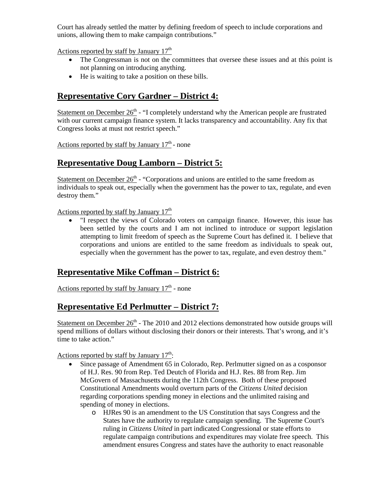Court has already settled the matter by defining freedom of speech to include corporations and unions, allowing them to make campaign contributions."

Actions reported by staff by January  $17<sup>th</sup>$ 

- The Congressman is not on the committees that oversee these issues and at this point is not planning on introducing anything.
- He is waiting to take a position on these bills.

## **Representative Cory Gardner – District 4:**

Statement on December  $26<sup>th</sup>$  - "I completely understand why the American people are frustrated with our current campaign finance system. It lacks transparency and accountability. Any fix that Congress looks at must not restrict speech."

Actions reported by staff by January  $17<sup>th</sup>$  - none

### **Representative Doug Lamborn – District 5:**

Statement on December  $26<sup>th</sup>$  - "Corporations and unions are entitled to the same freedom as individuals to speak out, especially when the government has the power to tax, regulate, and even destroy them."

Actions reported by staff by January  $17<sup>th</sup>$ 

• "I respect the views of Colorado voters on campaign finance. However, this issue has been settled by the courts and I am not inclined to introduce or support legislation attempting to limit freedom of speech as the Supreme Court has defined it. I believe that corporations and unions are entitled to the same freedom as individuals to speak out, especially when the government has the power to tax, regulate, and even destroy them."

### **Representative Mike Coffman – District 6:**

Actions reported by staff by January  $17<sup>th</sup>$  - none

#### **Representative Ed Perlmutter – District 7:**

Statement on December  $26<sup>th</sup>$  - The 2010 and 2012 elections demonstrated how outside groups will spend millions of dollars without disclosing their donors or their interests. That's wrong, and it's time to take action."

Actions reported by staff by January  $17<sup>th</sup>$ :

- Since passage of Amendment 65 in Colorado, Rep. Perlmutter signed on as a cosponsor of H.J. Res. 90 from Rep. Ted Deutch of Florida and H.J. Res. 88 from Rep. Jim McGovern of Massachusetts during the 112th Congress. Both of these proposed Constitutional Amendments would overturn parts of the *Citizens United* decision regarding corporations spending money in elections and the unlimited raising and spending of money in elections.
	- o HJRes 90 is an amendment to the US Constitution that says Congress and the States have the authority to regulate campaign spending. The Supreme Court's ruling in *Citizens United* in part indicated Congressional or state efforts to regulate campaign contributions and expenditures may violate free speech. This amendment ensures Congress and states have the authority to enact reasonable